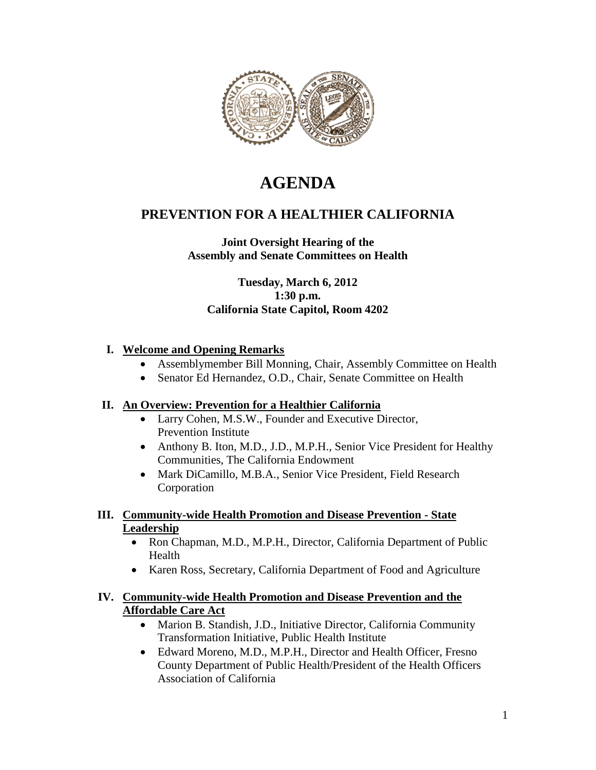

# **AGENDA**

## **PREVENTION FOR A HEALTHIER CALIFORNIA**

## **Joint Oversight Hearing of the Assembly and Senate Committees on Health**

**Tuesday, March 6, 2012 1:30 p.m. California State Capitol, Room 4202**

#### **I. Welcome and Opening Remarks**

- Assemblymember Bill Monning, Chair, Assembly Committee on Health
- Senator Ed Hernandez, O.D., Chair, Senate Committee on Health

#### **II. An Overview: Prevention for a Healthier California**

- Larry Cohen, M.S.W., Founder and Executive Director, Prevention Institute
- Anthony B. Iton, M.D., J.D., M.P.H., Senior Vice President for Healthy Communities, The California Endowment
- Mark DiCamillo, M.B.A., Senior Vice President, Field Research Corporation

#### **III. Community-wide Health Promotion and Disease Prevention - State Leadership**

- Ron Chapman, M.D., M.P.H., Director, California Department of Public Health
- Karen Ross, Secretary, California Department of Food and Agriculture

#### **IV. Community-wide Health Promotion and Disease Prevention and the Affordable Care Act**

- Marion B. Standish, J.D., Initiative Director, California Community Transformation Initiative, Public Health Institute
- Edward Moreno, M.D., M.P.H., Director and Health Officer, Fresno County Department of Public Health/President of the Health Officers Association of California